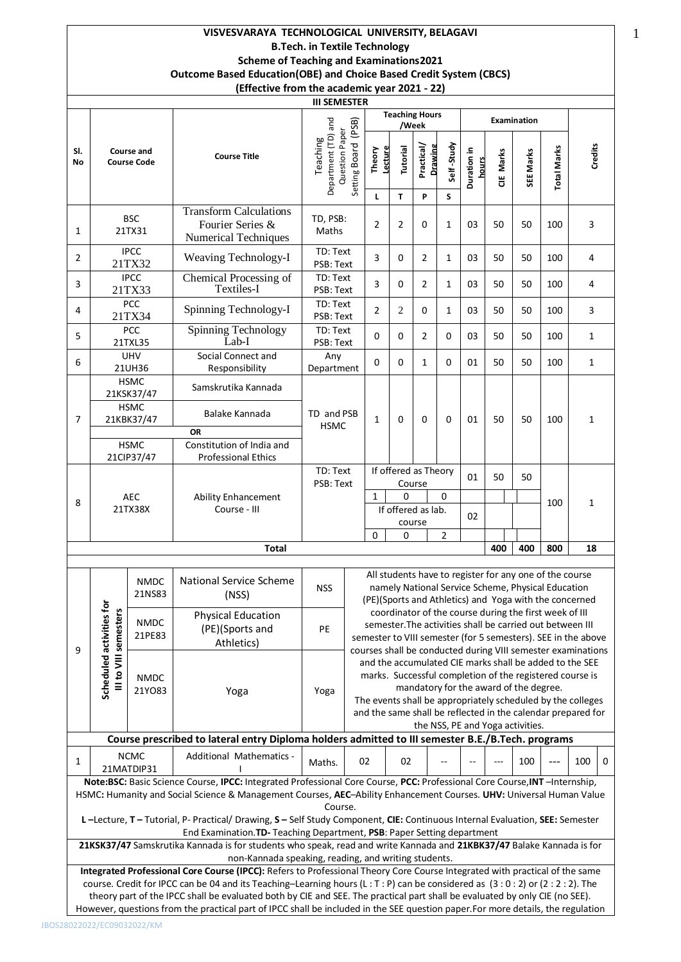## **VISVESVARAYA TECHNOLOGICAL UNIVERSITY, BELAGAVI B.Tech. in Textile Technology Scheme of Teaching and Examinations2021 Outcome Based Education(OBE) and Choice Based Credit System (CBCS) (Effective from the academic year 2021 - 22)**

|           | LITECHVE HUIH HIE ACAUEHIIC VEAL ZUZI - ZZJ    |                                                               |                                                         |                                                   |                                                                                                                                                                                          |                                |                |                                |                 |                      |           |             |                                                                                                                                                                         |              |  |
|-----------|------------------------------------------------|---------------------------------------------------------------|---------------------------------------------------------|---------------------------------------------------|------------------------------------------------------------------------------------------------------------------------------------------------------------------------------------------|--------------------------------|----------------|--------------------------------|-----------------|----------------------|-----------|-------------|-------------------------------------------------------------------------------------------------------------------------------------------------------------------------|--------------|--|
|           |                                                |                                                               |                                                         | <b>III SEMESTER</b>                               |                                                                                                                                                                                          |                                |                |                                |                 |                      |           |             |                                                                                                                                                                         |              |  |
|           |                                                |                                                               |                                                         |                                                   |                                                                                                                                                                                          |                                |                | <b>Teaching Hours</b><br>/Week |                 |                      |           | Examination |                                                                                                                                                                         |              |  |
| SI.<br>No |                                                | <b>Course and</b><br><b>Course Code</b>                       | <b>Course Title</b>                                     | Department (TD) and<br>Question Paper<br>Teaching | Setting Board (PSB)                                                                                                                                                                      | Lecture<br>Theory<br>L         | Tutorial<br>T  | Practical/<br>Drawing<br>P     | Self-Study<br>S | Duration in<br>hours | CIE Marks | SEE Marks   | <b>Total Marks</b>                                                                                                                                                      | Credits      |  |
|           |                                                |                                                               | <b>Transform Calculations</b>                           |                                                   |                                                                                                                                                                                          |                                |                |                                |                 |                      |           |             |                                                                                                                                                                         |              |  |
| 1         |                                                | <b>BSC</b><br>21TX31                                          | Fourier Series &<br><b>Numerical Techniques</b>         | TD, PSB:<br>Maths                                 |                                                                                                                                                                                          | 2                              | 2              | 0                              | 1               | 03                   | 50        | 50          | 100                                                                                                                                                                     | 3            |  |
| 2         |                                                | <b>IPCC</b><br>21TX32                                         | <b>Weaving Technology-I</b>                             |                                                   | TD: Text<br>PSB: Text                                                                                                                                                                    | 3                              | 0              | 2                              | 1               | 03                   | 50        | 50          | 100                                                                                                                                                                     | 4            |  |
| 3         |                                                | <b>IPCC</b><br>Chemical Processing of<br>Textiles-I<br>21TX33 |                                                         | TD: Text<br>PSB: Text                             |                                                                                                                                                                                          | 3                              | 0              | 2                              | 1               | 03                   | 50        | 50          | 100                                                                                                                                                                     | 4            |  |
| 4         | PCC<br>Spinning Technology-I<br>21TX34         |                                                               | TD: Text<br>PSB: Text                                   |                                                   | 2                                                                                                                                                                                        | $\overline{2}$                 | 0              | $\mathbf{1}$                   | 03              | 50                   | 50        | 100         | 3                                                                                                                                                                       |              |  |
| 5         | PCC<br>Spinning Technology<br>Lab-I<br>21TXL35 |                                                               | TD: Text<br>PSB: Text                                   |                                                   | 0                                                                                                                                                                                        | 0                              | $\overline{2}$ | 0                              | 03              | 50                   | 50        | 100         | $\mathbf{1}$                                                                                                                                                            |              |  |
| 6         | <b>UHV</b><br>21UH36                           |                                                               | Social Connect and<br>Responsibility                    | Any<br>Department                                 |                                                                                                                                                                                          | 0                              | 0              | $\mathbf{1}$                   | 0               | 01                   | 50        | 50          | 100                                                                                                                                                                     | $\mathbf{1}$ |  |
|           | <b>HSMC</b><br>21KSK37/47                      |                                                               | Samskrutika Kannada                                     |                                                   |                                                                                                                                                                                          |                                |                |                                |                 |                      |           |             |                                                                                                                                                                         |              |  |
| 7         |                                                | <b>HSMC</b><br>21KBK37/47                                     | Balake Kannada                                          | TD and PSB<br><b>HSMC</b>                         |                                                                                                                                                                                          | $\mathbf{1}$                   | 0              | 0                              | 0               | 01                   | 50        | 50          | 100                                                                                                                                                                     | $\mathbf{1}$ |  |
|           |                                                |                                                               | <b>OR</b>                                               |                                                   |                                                                                                                                                                                          |                                |                |                                |                 |                      |           |             |                                                                                                                                                                         |              |  |
|           |                                                | <b>HSMC</b><br>21CIP37/47                                     | Constitution of India and<br><b>Professional Ethics</b> |                                                   |                                                                                                                                                                                          |                                |                |                                |                 |                      |           |             |                                                                                                                                                                         |              |  |
|           |                                                |                                                               |                                                         | TD: Text<br>PSB: Text                             |                                                                                                                                                                                          | If offered as Theory<br>Course |                |                                | 01              | 50                   | 50        |             |                                                                                                                                                                         |              |  |
| 8         |                                                | <b>AEC</b>                                                    | <b>Ability Enhancement</b>                              |                                                   |                                                                                                                                                                                          | $\mathbf{1}$<br>0<br>$\Omega$  |                |                                |                 |                      |           |             | 100                                                                                                                                                                     | 1            |  |
|           |                                                | 21TX38X                                                       | Course - III                                            |                                                   |                                                                                                                                                                                          |                                |                | If offered as lab.             |                 | 02                   |           |             |                                                                                                                                                                         |              |  |
|           |                                                |                                                               |                                                         |                                                   |                                                                                                                                                                                          | $\Omega$                       | 0              | course                         | $\overline{2}$  |                      |           |             |                                                                                                                                                                         |              |  |
|           |                                                |                                                               | <b>Total</b>                                            |                                                   |                                                                                                                                                                                          |                                |                |                                |                 |                      | 400       | 400         | 800                                                                                                                                                                     | 18           |  |
|           |                                                |                                                               |                                                         |                                                   |                                                                                                                                                                                          |                                |                |                                |                 |                      |           |             |                                                                                                                                                                         |              |  |
|           |                                                | <b>NMDC</b><br>21NS83                                         | National Service Scheme<br>(NSS)                        | <b>NSS</b>                                        |                                                                                                                                                                                          |                                |                |                                |                 |                      |           |             | All students have to register for any one of the course<br>namely National Service Scheme, Physical Education<br>(PE)(Sports and Athletics) and Yoga with the concerned |              |  |
|           |                                                |                                                               | <b>Physical Education</b>                               |                                                   |                                                                                                                                                                                          |                                |                |                                |                 |                      |           |             | coordinator of the course during the first week of III                                                                                                                  |              |  |
|           |                                                | <b>NMDC</b><br>21PE83                                         | (PE)(Sports and                                         | PE                                                |                                                                                                                                                                                          |                                |                |                                |                 |                      |           |             | semester. The activities shall be carried out between III                                                                                                               |              |  |
| 9         |                                                |                                                               | Athletics)                                              |                                                   | semester to VIII semester (for 5 semesters). SEE in the above<br>courses shall be conducted during VIII semester examinations<br>and the accumulated CIE marks shall be added to the SEE |                                |                |                                |                 |                      |           |             |                                                                                                                                                                         |              |  |
|           | III to VIII semesters                          |                                                               |                                                         |                                                   |                                                                                                                                                                                          |                                |                |                                |                 |                      |           |             |                                                                                                                                                                         |              |  |
|           |                                                | <b>NMDC</b>                                                   |                                                         |                                                   | marks. Successful completion of the registered course is                                                                                                                                 |                                |                |                                |                 |                      |           |             |                                                                                                                                                                         |              |  |
|           | Scheduled activities for                       | 21Y083                                                        | Yoga                                                    | Yoga                                              | mandatory for the award of the degree.                                                                                                                                                   |                                |                |                                |                 |                      |           |             |                                                                                                                                                                         |              |  |

semester to VIII semester (for 5 semesters). SEE in the above courses shall be conducted during VIII semester examinations and the accumulated CIE marks shall be added to the SEE marks. Successful completion of the registered course is mandatory for the award of the degree. The events shall be appropriately scheduled by the colleges and the same shall be reflected in the calendar prepared for

the NSS, PE and Yoga activities. **Course prescribed to lateral entry Diploma holders admitted to III semester B.E./B.Tech. programs** NCMC 21MATDIP31 Additional Mathematics - I Maths. 02 02 --- --- 100 --- 100 0 **Note:BSC:** Basic Science Course, **IPCC:** Integrated Professional Core Course, **PCC:** Professional Core Course,**INT** –Internship, HSMC**:** Humanity and Social Science & Management Courses, **AEC**–Ability Enhancement Courses. **UHV:** Universal Human Value Course. **L –**Lecture, **T –** Tutorial, P- Practical/ Drawing, **S –** Self Study Component, **CIE:** Continuous Internal Evaluation, **SEE:** Semester End Examination.**TD-** Teaching Department, **PSB**: Paper Setting department **21KSK37/47** Samskrutika Kannada is for students who speak, read and write Kannada and **21KBK37/47** Balake Kannada is for non-Kannada speaking, reading, and writing students.

**Integrated Professional Core Course (IPCC):** Refers to Professional Theory Core Course Integrated with practical of the same course. Credit for IPCC can be 04 and its Teaching–Learning hours (L : T : P) can be considered as (3 : 0 : 2) or (2 : 2 : 2). The theory part of the IPCC shall be evaluated both by CIE and SEE. The practical part shall be evaluated by only CIE (no SEE). However, questions from the practical part of IPCC shall be included in the SEE question paper.For more details, the regulation

1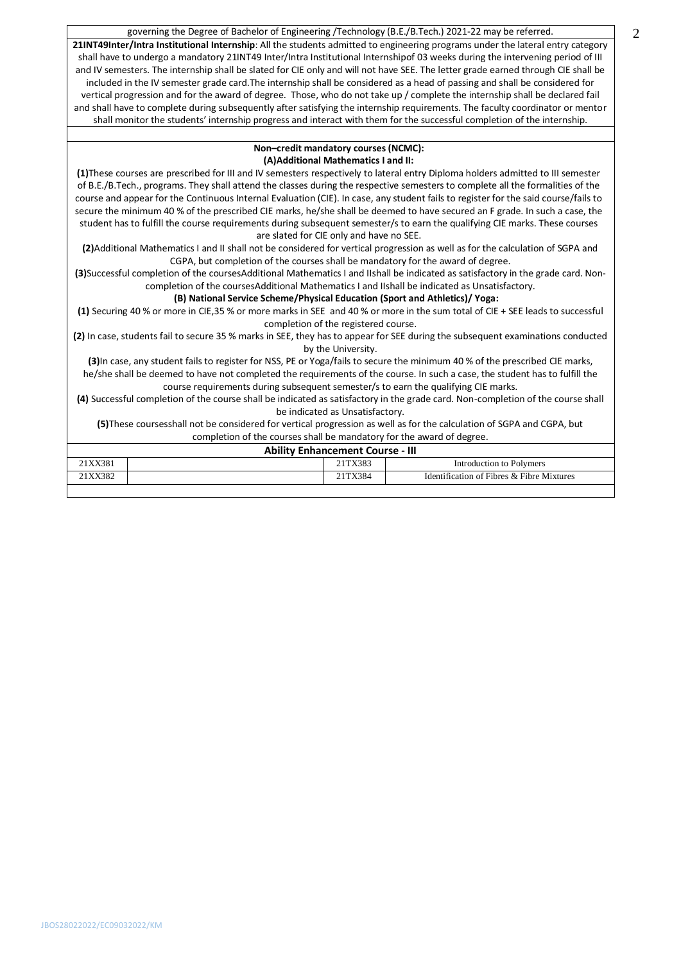governing the Degree of Bachelor of Engineering /Technology (B.E./B.Tech.) 2021-22 may be referred.

**21INT49Inter/Intra Institutional Internship**: All the students admitted to engineering programs under the lateral entry category shall have to undergo a mandatory 21INT49 Inter/Intra Institutional Internshipof 03 weeks during the intervening period of III and IV semesters. The internship shall be slated for CIE only and will not have SEE. The letter grade earned through CIE shall be included in the IV semester grade card.The internship shall be considered as a head of passing and shall be considered for vertical progression and for the award of degree. Those, who do not take up / complete the internship shall be declared fail and shall have to complete during subsequently after satisfying the internship requirements. The faculty coordinator or mentor shall monitor the students' internship progress and interact with them for the successful completion of the internship.

### **Non–credit mandatory courses (NCMC): (A)Additional Mathematics I and II:**

**(1)**These courses are prescribed for III and IV semesters respectively to lateral entry Diploma holders admitted to III semester of B.E./B.Tech., programs. They shall attend the classes during the respective semesters to complete all the formalities of the course and appear for the Continuous Internal Evaluation (CIE). In case, any student fails to register for the said course/fails to secure the minimum 40 % of the prescribed CIE marks, he/she shall be deemed to have secured an F grade. In such a case, the student has to fulfill the course requirements during subsequent semester/s to earn the qualifying CIE marks. These courses are slated for CIE only and have no SEE.

**(2)**Additional Mathematics I and II shall not be considered for vertical progression as well as for the calculation of SGPA and CGPA, but completion of the courses shall be mandatory for the award of degree.

**(3)**Successful completion of the coursesAdditional Mathematics I and IIshall be indicated as satisfactory in the grade card. Noncompletion of the coursesAdditional Mathematics I and IIshall be indicated as Unsatisfactory.

## **(B) National Service Scheme/Physical Education (Sport and Athletics)/ Yoga:**

**(1)** Securing 40 % or more in CIE,35 % or more marks in SEE and 40 % or more in the sum total of CIE + SEE leads to successful completion of the registered course.

**(2)** In case, students fail to secure 35 % marks in SEE, they has to appear for SEE during the subsequent examinations conducted by the University.

**(3)**In case, any student fails to register for NSS, PE or Yoga/fails to secure the minimum 40 % of the prescribed CIE marks, he/she shall be deemed to have not completed the requirements of the course. In such a case, the student has to fulfill the course requirements during subsequent semester/s to earn the qualifying CIE marks.

**(4)** Successful completion of the course shall be indicated as satisfactory in the grade card. Non-completion of the course shall be indicated as Unsatisfactory.

**(5)**These coursesshall not be considered for vertical progression as well as for the calculation of SGPA and CGPA, but completion of the courses shall be mandatory for the award of degree.

| <b>Ability Enhancement Course - III</b> |         |                                           |  |  |  |  |  |  |
|-----------------------------------------|---------|-------------------------------------------|--|--|--|--|--|--|
| 21XX381                                 | 21TX383 | Introduction to Polymers                  |  |  |  |  |  |  |
| 21XX382                                 | 21TX384 | Identification of Fibres & Fibre Mixtures |  |  |  |  |  |  |
|                                         |         |                                           |  |  |  |  |  |  |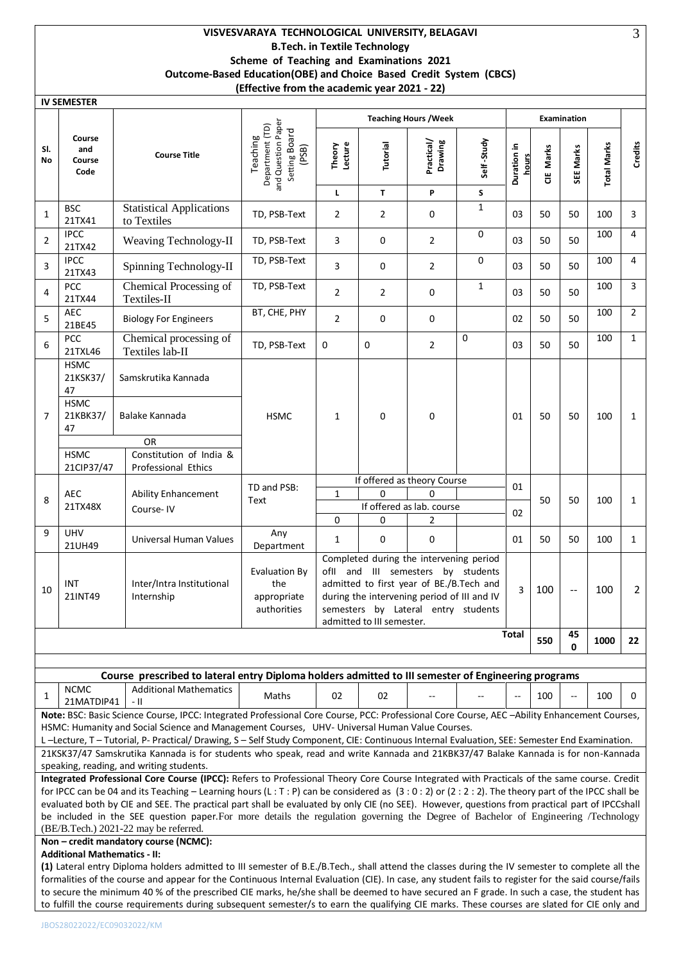# **VISVESVARAYA TECHNOLOGICAL UNIVERSITY, BELAGAVI B.Tech. in Textile Technology Scheme of Teaching and Examinations 2021 Outcome-Based Education(OBE) and Choice Based Credit System (CBCS) (Effective from the academic year 2021 - 22)**

|              | <b>IV SEMESTER</b>                                                                                                                                                                                                                                                                                                                                                                                                                                                                                                                                                                                                               |                                                                                                                                                                                                                                                                              |                                                                             |                        |                           |                                                                                                                                                                                                                 |                 |                      |           |                    |             |                |
|--------------|----------------------------------------------------------------------------------------------------------------------------------------------------------------------------------------------------------------------------------------------------------------------------------------------------------------------------------------------------------------------------------------------------------------------------------------------------------------------------------------------------------------------------------------------------------------------------------------------------------------------------------|------------------------------------------------------------------------------------------------------------------------------------------------------------------------------------------------------------------------------------------------------------------------------|-----------------------------------------------------------------------------|------------------------|---------------------------|-----------------------------------------------------------------------------------------------------------------------------------------------------------------------------------------------------------------|-----------------|----------------------|-----------|--------------------|-------------|----------------|
|              |                                                                                                                                                                                                                                                                                                                                                                                                                                                                                                                                                                                                                                  |                                                                                                                                                                                                                                                                              |                                                                             |                        |                           | <b>Teaching Hours / Week</b>                                                                                                                                                                                    |                 |                      |           | <b>Examination</b> |             |                |
| SI.<br>No    | Course<br>and<br>Course<br>Code                                                                                                                                                                                                                                                                                                                                                                                                                                                                                                                                                                                                  | <b>Course Title</b>                                                                                                                                                                                                                                                          | and Question Paper<br>Department (TD)<br>Setting Board<br>Teaching<br>(PSB) | Theory<br>Lecture<br>Г | Tutorial<br>T             | Practical/<br>Drawing<br>P                                                                                                                                                                                      | Self-Study<br>S | Duration in<br>hours | CIE Marks | SEE Marks          | Total Marks | Credits        |
| $\mathbf{1}$ | <b>BSC</b><br>21TX41                                                                                                                                                                                                                                                                                                                                                                                                                                                                                                                                                                                                             | <b>Statistical Applications</b><br>to Textiles                                                                                                                                                                                                                               | TD, PSB-Text                                                                | 2                      | 2                         | 0                                                                                                                                                                                                               | $\mathbf 1$     | 03                   | 50        | 50                 | 100         | 3              |
| 2            | <b>IPCC</b><br>21TX42                                                                                                                                                                                                                                                                                                                                                                                                                                                                                                                                                                                                            | Weaving Technology-II                                                                                                                                                                                                                                                        | TD, PSB-Text                                                                | 3                      | 0                         | 2                                                                                                                                                                                                               | 0               | 03                   | 50        | 50                 | 100         | 4              |
| 3            | <b>IPCC</b><br>21TX43                                                                                                                                                                                                                                                                                                                                                                                                                                                                                                                                                                                                            | Spinning Technology-II                                                                                                                                                                                                                                                       | TD, PSB-Text                                                                | 3                      | 0                         | 2                                                                                                                                                                                                               | 0               | 03                   | 50        | 50                 | 100         | 4              |
| 4            | <b>PCC</b><br>21TX44                                                                                                                                                                                                                                                                                                                                                                                                                                                                                                                                                                                                             | Chemical Processing of<br>Textiles-II                                                                                                                                                                                                                                        | TD, PSB-Text                                                                | 2                      | 2                         | 0                                                                                                                                                                                                               | 1               | 03                   | 50        | 50                 | 100         | 3              |
| 5            | <b>AEC</b><br>21BE45                                                                                                                                                                                                                                                                                                                                                                                                                                                                                                                                                                                                             | <b>Biology For Engineers</b>                                                                                                                                                                                                                                                 | BT, CHE, PHY                                                                | $\overline{2}$         | 0                         | 0                                                                                                                                                                                                               |                 | 02                   | 50        | 50                 | 100         | $\overline{2}$ |
| 6            | <b>PCC</b><br>21TXL46                                                                                                                                                                                                                                                                                                                                                                                                                                                                                                                                                                                                            | Chemical processing of<br>Textiles lab-II                                                                                                                                                                                                                                    | TD, PSB-Text                                                                | 0                      | 0                         | $\overline{2}$                                                                                                                                                                                                  | 0               | 03                   | 50        | 50                 | 100         | $\mathbf{1}$   |
| 7            | <b>HSMC</b><br>21KSK37/<br>47<br><b>HSMC</b><br>21KBK37/<br>47                                                                                                                                                                                                                                                                                                                                                                                                                                                                                                                                                                   | Samskrutika Kannada<br>Balake Kannada<br>0R                                                                                                                                                                                                                                  | <b>HSMC</b>                                                                 | $\mathbf{1}$           | 0                         | 0                                                                                                                                                                                                               |                 | 01                   | 50        | 50                 | 100         | 1              |
|              | <b>HSMC</b><br>21CIP37/47                                                                                                                                                                                                                                                                                                                                                                                                                                                                                                                                                                                                        | Constitution of India &<br>Professional Ethics                                                                                                                                                                                                                               |                                                                             |                        |                           |                                                                                                                                                                                                                 |                 |                      |           |                    |             |                |
| 8            | AEC<br>21TX48X                                                                                                                                                                                                                                                                                                                                                                                                                                                                                                                                                                                                                   | Ability Enhancement<br>Course-IV                                                                                                                                                                                                                                             | TD and PSB:<br>Text                                                         | $\mathbf{1}$           | 0                         | If offered as theory Course<br>0<br>If offered as lab. course                                                                                                                                                   |                 | 01<br>02             | 50        | 50                 | 100         | $\mathbf{1}$   |
| 9            | <b>UHV</b><br>21UH49                                                                                                                                                                                                                                                                                                                                                                                                                                                                                                                                                                                                             | Universal Human Values                                                                                                                                                                                                                                                       | Any<br>Department                                                           | 0<br>$\mathbf{1}$      | 0<br>0                    | 2<br>0                                                                                                                                                                                                          |                 | 01                   | 50        | 50                 | 100         | $\mathbf{1}$   |
| 10           | INT<br>21INT49                                                                                                                                                                                                                                                                                                                                                                                                                                                                                                                                                                                                                   | Inter/Intra Institutional<br>Internship                                                                                                                                                                                                                                      | <b>Evaluation By</b><br>the<br>appropriate<br>authorities                   |                        | admitted to III semester. | Completed during the intervening period<br>ofil and III semesters by students<br>admitted to first year of BE./B.Tech and<br>during the intervening period of III and IV<br>semesters by Lateral entry students |                 | 3                    | 100       | $-$                | 100         | 2              |
|              |                                                                                                                                                                                                                                                                                                                                                                                                                                                                                                                                                                                                                                  |                                                                                                                                                                                                                                                                              |                                                                             |                        |                           |                                                                                                                                                                                                                 |                 | Total                | 550       | 45<br>0            | 1000        | 22             |
|              |                                                                                                                                                                                                                                                                                                                                                                                                                                                                                                                                                                                                                                  |                                                                                                                                                                                                                                                                              |                                                                             |                        |                           |                                                                                                                                                                                                                 |                 |                      |           |                    |             |                |
|              | <b>NCMC</b>                                                                                                                                                                                                                                                                                                                                                                                                                                                                                                                                                                                                                      | Course prescribed to lateral entry Diploma holders admitted to III semester of Engineering programs<br><b>Additional Mathematics</b>                                                                                                                                         |                                                                             |                        |                           |                                                                                                                                                                                                                 |                 |                      |           |                    |             |                |
| 1            | 21MATDIP41                                                                                                                                                                                                                                                                                                                                                                                                                                                                                                                                                                                                                       | - 11                                                                                                                                                                                                                                                                         | Maths                                                                       | 02                     | 02                        |                                                                                                                                                                                                                 |                 |                      | 100       | $-$                | 100         | 0              |
|              |                                                                                                                                                                                                                                                                                                                                                                                                                                                                                                                                                                                                                                  | Note: BSC: Basic Science Course, IPCC: Integrated Professional Core Course, PCC: Professional Core Course, AEC-Ability Enhancement Courses,<br>HSMC: Humanity and Social Science and Management Courses, UHV- Universal Human Value Courses.                                 |                                                                             |                        |                           |                                                                                                                                                                                                                 |                 |                      |           |                    |             |                |
|              |                                                                                                                                                                                                                                                                                                                                                                                                                                                                                                                                                                                                                                  | L-Lecture, T-Tutorial, P-Practical/Drawing, S-Self Study Component, CIE: Continuous Internal Evaluation, SEE: Semester End Examination.<br>21KSK37/47 Samskrutika Kannada is for students who speak, read and write Kannada and 21KBK37/47 Balake Kannada is for non-Kannada |                                                                             |                        |                           |                                                                                                                                                                                                                 |                 |                      |           |                    |             |                |
|              |                                                                                                                                                                                                                                                                                                                                                                                                                                                                                                                                                                                                                                  | speaking, reading, and writing students.                                                                                                                                                                                                                                     |                                                                             |                        |                           |                                                                                                                                                                                                                 |                 |                      |           |                    |             |                |
|              | Integrated Professional Core Course (IPCC): Refers to Professional Theory Core Course Integrated with Practicals of the same course. Credit<br>for IPCC can be 04 and its Teaching - Learning hours (L:T: P) can be considered as $(3:0:2)$ or $(2:2:2)$ . The theory part of the IPCC shall be<br>evaluated both by CIE and SEE. The practical part shall be evaluated by only CIE (no SEE). However, questions from practical part of IPCCshall<br>be included in the SEE question paper. For more details the regulation governing the Degree of Bachelor of Engineering /Technology<br>(BE/B.Tech.) 2021-22 may be referred. |                                                                                                                                                                                                                                                                              |                                                                             |                        |                           |                                                                                                                                                                                                                 |                 |                      |           |                    |             |                |
|              |                                                                                                                                                                                                                                                                                                                                                                                                                                                                                                                                                                                                                                  | Non - credit mandatory course (NCMC):                                                                                                                                                                                                                                        |                                                                             |                        |                           |                                                                                                                                                                                                                 |                 |                      |           |                    |             |                |
|              | <b>Additional Mathematics - II:</b>                                                                                                                                                                                                                                                                                                                                                                                                                                                                                                                                                                                              | (1) Lateral entry Diploma holders admitted to III semester of B.E./B.Tech., shall attend the classes during the IV semester to complete all the                                                                                                                              |                                                                             |                        |                           |                                                                                                                                                                                                                 |                 |                      |           |                    |             |                |
|              |                                                                                                                                                                                                                                                                                                                                                                                                                                                                                                                                                                                                                                  | formalities of the course and appear for the Continuous Internal Evaluation (CIE). In case, any student fails to register for the said course/fails                                                                                                                          |                                                                             |                        |                           |                                                                                                                                                                                                                 |                 |                      |           |                    |             |                |

to secure the minimum 40 % of the prescribed CIE marks, he/she shall be deemed to have secured an F grade. In such a case, the student has to fulfill the course requirements during subsequent semester/s to earn the qualifying CIE marks. These courses are slated for CIE only and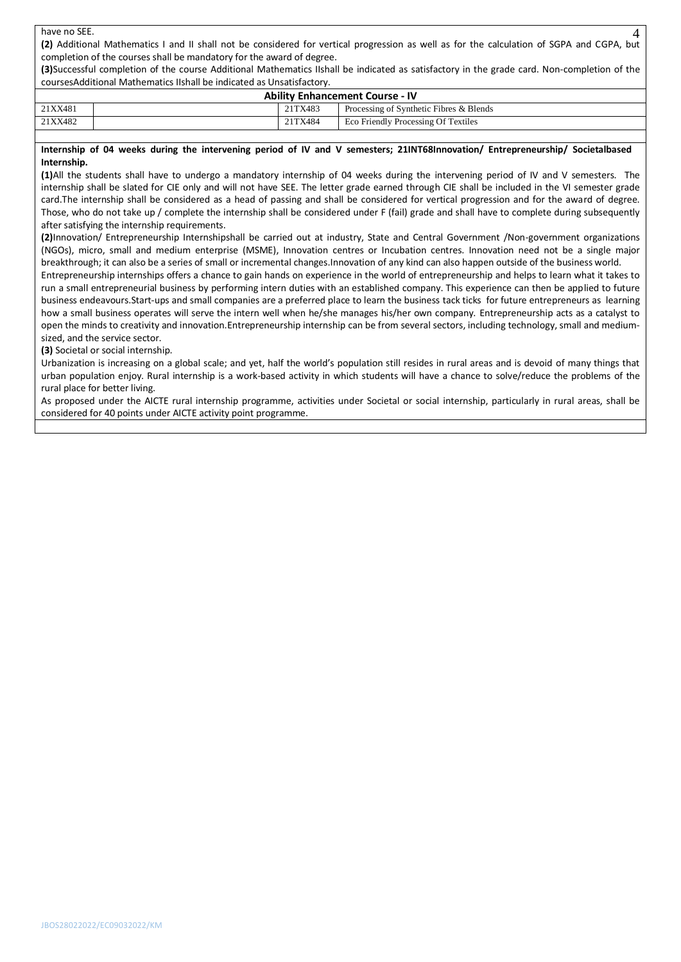## have no SEE.

**(2)** Additional Mathematics I and II shall not be considered for vertical progression as well as for the calculation of SGPA and CGPA, but completion of the courses shall be mandatory for the award of degree.

 $\Delta$ 

**(3)**Successful completion of the course Additional Mathematics IIshall be indicated as satisfactory in the grade card. Non-completion of the coursesAdditional Mathematics IIshall be indicated as Unsatisfactory.

| <b>Ability Enhancement Course - IV</b> |  |         |                                         |  |  |  |  |
|----------------------------------------|--|---------|-----------------------------------------|--|--|--|--|
| 21XX481                                |  | 21TX483 | Processing of Synthetic Fibres & Blends |  |  |  |  |
| 21XX482                                |  | 21TX484 | Eco Friendly Processing Of Textiles     |  |  |  |  |
|                                        |  |         |                                         |  |  |  |  |

**Internship of 04 weeks during the intervening period of IV and V semesters; 21INT68Innovation/ Entrepreneurship/ Societalbased Internship.**

**(1)**All the students shall have to undergo a mandatory internship of 04 weeks during the intervening period of IV and V semesters. The internship shall be slated for CIE only and will not have SEE. The letter grade earned through CIE shall be included in the VI semester grade card.The internship shall be considered as a head of passing and shall be considered for vertical progression and for the award of degree. Those, who do not take up / complete the internship shall be considered under F (fail) grade and shall have to complete during subsequently after satisfying the internship requirements.

**(2)**Innovation/ Entrepreneurship Internshipshall be carried out at industry, State and Central Government /Non-government organizations (NGOs), micro, small and medium enterprise (MSME), Innovation centres or Incubation centres. Innovation need not be a single major breakthrough; it can also be a series of small or incremental changes.Innovation of any kind can also happen outside of the business world.

Entrepreneurship internships offers a chance to gain hands on experience in the world of entrepreneurship and helps to learn what it takes to run a small entrepreneurial business by performing intern duties with an established company. This experience can then be applied to future business endeavours.Start-ups and small companies are a preferred place to learn the business tack ticks for future entrepreneurs as learning how a small business operates will serve the intern well when he/she manages his/her own company. Entrepreneurship acts as a catalyst to open the minds to creativity and innovation.Entrepreneurship internship can be from several sectors, including technology, small and mediumsized, and the service sector.

**(3)** Societal or social internship.

Urbanization is increasing on a global scale; and yet, half the world's population still resides in rural areas and is devoid of many things that urban population enjoy. Rural internship is a work-based activity in which students will have a chance to solve/reduce the problems of the rural place for better living.

As proposed under the AICTE rural internship programme, activities under Societal or social internship, particularly in rural areas, shall be considered for 40 points under AICTE activity point programme.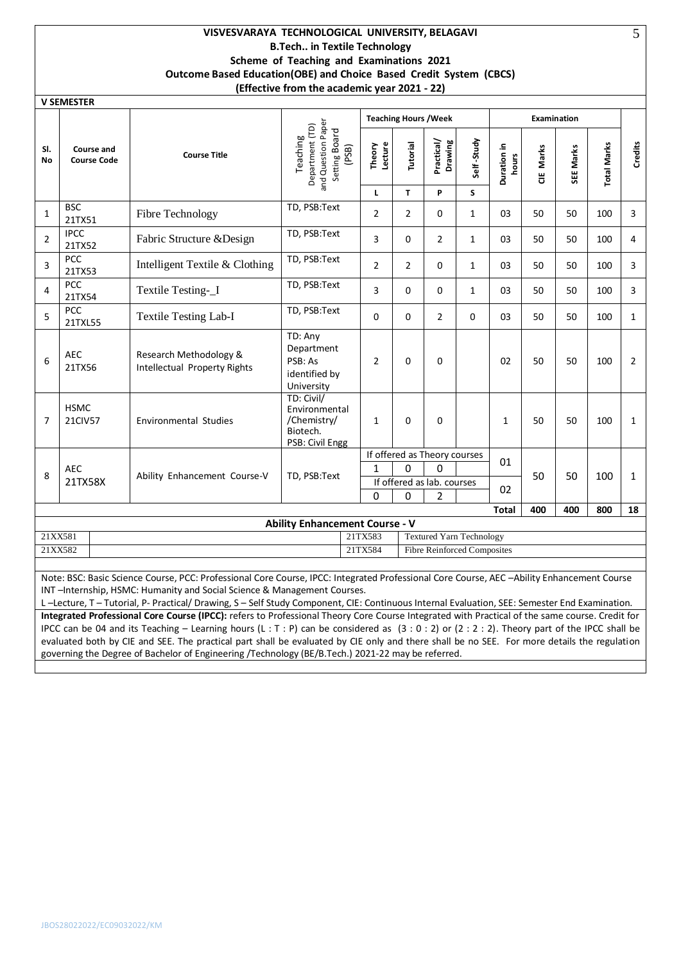## **VISVESVARAYA TECHNOLOGICAL UNIVERSITY, BELAGAVI B.Tech.. in Textile Technology Scheme of Teaching and Examinations 2021 Outcome Based Education(OBE) and Choice Based Credit System (CBCS) (Effective from the academic year 2021 - 22)**

|                  | <b>V SEMESTER</b>                                        |                                                                                                                                                                                                                                                                                                                                                                  |                                                                             |                   |                              |                                 |              |                      |            |                    |                    |                |
|------------------|----------------------------------------------------------|------------------------------------------------------------------------------------------------------------------------------------------------------------------------------------------------------------------------------------------------------------------------------------------------------------------------------------------------------------------|-----------------------------------------------------------------------------|-------------------|------------------------------|---------------------------------|--------------|----------------------|------------|--------------------|--------------------|----------------|
|                  |                                                          |                                                                                                                                                                                                                                                                                                                                                                  |                                                                             |                   | <b>Teaching Hours / Week</b> |                                 |              |                      |            | <b>Examination</b> |                    |                |
| SI.<br><b>No</b> | <b>Course and</b><br><b>Course Code</b>                  | <b>Course Title</b>                                                                                                                                                                                                                                                                                                                                              | and Question Paper<br>Department (TD)<br>Setting Board<br>Teaching<br>(PSB) | Lecture<br>Theory | Tutorial                     | Practical/<br>Drawing           | Self-Study   | Duration in<br>hours | Marks<br>ă | SEE Marks          | <b>Total Marks</b> | Credits        |
|                  |                                                          |                                                                                                                                                                                                                                                                                                                                                                  |                                                                             | L                 | T                            | P                               | S            |                      |            |                    |                    |                |
| 1                | <b>BSC</b><br>21TX51                                     | Fibre Technology                                                                                                                                                                                                                                                                                                                                                 | TD, PSB:Text                                                                | $\overline{2}$    | $\overline{2}$               | 0                               | $\mathbf{1}$ | 03                   | 50         | 50                 | 100                | 3              |
| 2                | <b>IPCC</b><br>21TX52                                    | Fabric Structure & Design                                                                                                                                                                                                                                                                                                                                        | TD, PSB:Text                                                                | 3                 | 0                            | $\overline{2}$                  | $\mathbf{1}$ | 03                   | 50         | 50                 | 100                | 4              |
| 3                | <b>PCC</b><br>21TX53                                     | Intelligent Textile & Clothing                                                                                                                                                                                                                                                                                                                                   | TD, PSB:Text                                                                | $\overline{2}$    | $\overline{2}$               | 0                               | $\mathbf{1}$ | 03                   | 50         | 50                 | 100                | 3              |
| 4                | <b>PCC</b><br>21TX54                                     | Textile Testing-_I                                                                                                                                                                                                                                                                                                                                               | TD, PSB:Text                                                                | 3                 | 0                            | 0                               | $\mathbf{1}$ | 03                   | 50         | 50                 | 100                | 3              |
| 5                | <b>PCC</b><br>21TXL55                                    | <b>Textile Testing Lab-I</b>                                                                                                                                                                                                                                                                                                                                     | TD, PSB:Text                                                                | 0                 | $\Omega$                     | $\overline{2}$                  | 0            | 03                   | 50         | 50                 | 100                | $\mathbf{1}$   |
| 6                | <b>AEC</b><br>21TX56                                     | Research Methodology &<br>Intellectual Property Rights                                                                                                                                                                                                                                                                                                           | TD: Any<br>Department<br>PSB: As<br>identified by<br>University             |                   | $\Omega$                     | 0                               |              | 02                   | 50         | 50                 | 100                | $\overline{2}$ |
| $\overline{7}$   | <b>HSMC</b><br><b>21CIV57</b>                            | <b>Environmental Studies</b>                                                                                                                                                                                                                                                                                                                                     | TD: Civil/<br>Environmental<br>/Chemistry/<br>Biotech.<br>PSB: Civil Engg   | $\mathbf{1}$      | $\Omega$                     | $\Omega$                        |              | $\mathbf{1}$         | 50         | 50                 | 100                | $\mathbf{1}$   |
|                  |                                                          |                                                                                                                                                                                                                                                                                                                                                                  |                                                                             |                   |                              | If offered as Theory courses    |              | 01                   |            |                    |                    |                |
| 8                | <b>AEC</b>                                               | Ability Enhancement Course-V                                                                                                                                                                                                                                                                                                                                     | TD, PSB:Text                                                                | 1                 | 0                            | 0                               |              |                      | 50         | 50                 | 100                | $\mathbf{1}$   |
|                  | 21TX58X                                                  |                                                                                                                                                                                                                                                                                                                                                                  |                                                                             |                   |                              | If offered as lab. courses      |              | 02                   |            |                    |                    |                |
|                  |                                                          |                                                                                                                                                                                                                                                                                                                                                                  |                                                                             | 0                 | 0                            | 2                               |              | <b>Total</b>         | 400        | 400                | 800                | 18             |
|                  |                                                          |                                                                                                                                                                                                                                                                                                                                                                  | <b>Ability Enhancement Course - V</b>                                       |                   |                              |                                 |              |                      |            |                    |                    |                |
| 21XX581          |                                                          |                                                                                                                                                                                                                                                                                                                                                                  |                                                                             | 21TX583           |                              | <b>Textured Yarn Technology</b> |              |                      |            |                    |                    |                |
|                  | 21XX582<br>21TX584<br><b>Fibre Reinforced Composites</b> |                                                                                                                                                                                                                                                                                                                                                                  |                                                                             |                   |                              |                                 |              |                      |            |                    |                    |                |
|                  |                                                          |                                                                                                                                                                                                                                                                                                                                                                  |                                                                             |                   |                              |                                 |              |                      |            |                    |                    |                |
|                  |                                                          | Note: BSC: Basic Science Course, PCC: Professional Core Course, IPCC: Integrated Professional Core Course, AEC -Ability Enhancement Course<br>INT-Internship, HSMC: Humanity and Social Science & Management Courses.<br>L-Lecture, T-Tutorial, P-Practical/Drawing, S-Self Study Component, CIE: Continuous Internal Evaluation, SEE: Semester End Examination. |                                                                             |                   |                              |                                 |              |                      |            |                    |                    |                |

**Integrated Professional Core Course (IPCC):** refers to Professional Theory Core Course Integrated with Practical of the same course. Credit for IPCC can be 04 and its Teaching – Learning hours (L : T : P) can be considered as (3 : 0 : 2) or (2 : 2 : 2). Theory part of the IPCC shall be evaluated both by CIE and SEE. The practical part shall be evaluated by CIE only and there shall be no SEE. For more details the regulation governing the Degree of Bachelor of Engineering /Technology (BE/B.Tech.) 2021-22 may be referred.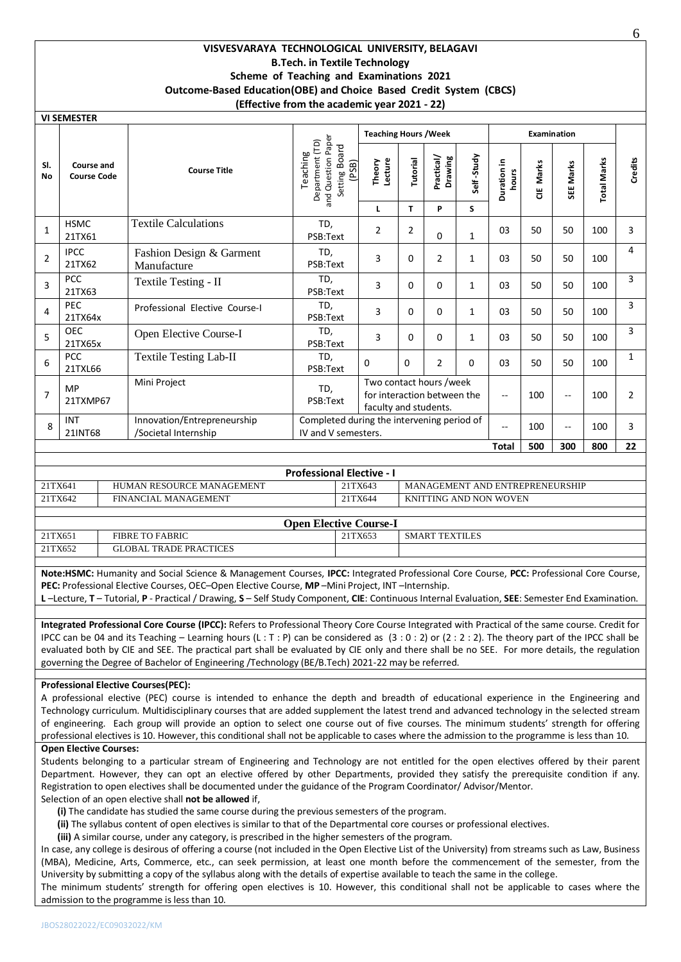## **VISVESVARAYA TECHNOLOGICAL UNIVERSITY, BELAGAVI B.Tech. in Textile Technology Scheme of Teaching and Examinations 2021 Outcome-Based Education(OBE) and Choice Based Credit System (CBCS) (Effective from the academic year 2021 - 22)**

**VI SEMESTER**

|                  |                                  |                                                     |                                                                             | <b>Teaching Hours / Week</b>                                                    |          |                       |              |                      |            | <b>Examination</b> |                    |              |
|------------------|----------------------------------|-----------------------------------------------------|-----------------------------------------------------------------------------|---------------------------------------------------------------------------------|----------|-----------------------|--------------|----------------------|------------|--------------------|--------------------|--------------|
| SI.<br><b>No</b> | Course and<br><b>Course Code</b> | <b>Course Title</b>                                 | and Question Paper<br>Department (TD)<br>Setting Board<br>Teaching<br>(PSB) | Lecture<br>Theory                                                               | Tutorial | Practical/<br>Drawing | Self-Study   | Duration in<br>hours | Marks<br>쁭 | SEE Marks          | <b>Total Marks</b> | Credits      |
|                  |                                  |                                                     |                                                                             | L                                                                               | T.       | P                     | S            |                      |            |                    |                    |              |
| $\mathbf{1}$     | <b>HSMC</b><br>21TX61            | <b>Textile Calculations</b>                         | TD,<br>PSB:Text                                                             | $\overline{2}$                                                                  | 2        | $\Omega$              | $\mathbf{1}$ | 03                   | 50         | 50                 | 100                | 3            |
| $\overline{2}$   | <b>IPCC</b><br>21TX62            | Fashion Design & Garment<br>Manufacture             | TD,<br>PSB:Text                                                             | 3                                                                               | 0        | $\overline{2}$        | 1            | 03                   | 50         | 50                 | 100                | 4            |
| 3                | <b>PCC</b><br>21TX63             | Textile Testing - II                                | TD,<br>PSB:Text                                                             | 3                                                                               | 0        | $\Omega$              | 1            | 03                   | 50         | 50                 | 100                | 3            |
| 4                | <b>PEC</b><br>21TX64x            | Professional Elective Course-I                      | TD,<br>PSB:Text                                                             | 3                                                                               | 0        | $\Omega$              | $\mathbf{1}$ | 03                   | 50         | 50                 | 100                | 3            |
| 5                | <b>OEC</b><br>21TX65x            | Open Elective Course-I                              | TD,<br>PSB:Text                                                             | 3                                                                               | 0        | $\Omega$              | 1            | 03                   | 50         | 50                 | 100                | 3            |
| 6                | <b>PCC</b><br>21TXL66            | <b>Textile Testing Lab-II</b>                       | TD.<br>PSB:Text                                                             | $\Omega$                                                                        | $\Omega$ | 2                     | $\Omega$     | 03                   | 50         | 50                 | 100                | $\mathbf{1}$ |
| $\overline{7}$   | <b>MP</b><br>21TXMP67            | Mini Project                                        | TD,<br>PSB:Text                                                             | Two contact hours /week<br>for interaction between the<br>faculty and students. |          |                       |              | $-$                  | 100        | $-$                | 100                | 2            |
| 8                | INT<br>21INT68                   | Innovation/Entrepreneurship<br>/Societal Internship | Completed during the intervening period of<br>IV and V semesters.           |                                                                                 |          |                       |              | $-$                  | 100        | $-$                | 100                | 3            |
|                  |                                  |                                                     |                                                                             |                                                                                 |          |                       |              | <b>Total</b>         | 500        | 300                | 800                | 22           |

| <b>Professional Elective - I</b> |                           |         |                                 |  |  |  |  |  |  |  |
|----------------------------------|---------------------------|---------|---------------------------------|--|--|--|--|--|--|--|
| 21TX641                          | HUMAN RESOURCE MANAGEMENT | 21TX643 | MANAGEMENT AND ENTREPRENEURSHIP |  |  |  |  |  |  |  |
| 21TX642                          | FINANCIAL MANAGEMENT      | 21TX644 | KNITTING AND NON WOVEN          |  |  |  |  |  |  |  |
|                                  |                           |         |                                 |  |  |  |  |  |  |  |

|         | <b>Open Elective Course-I</b> |         |                |  |  |  |  |  |  |  |
|---------|-------------------------------|---------|----------------|--|--|--|--|--|--|--|
| 21TX651 | <b>FIBRE TO FABRIC</b>        | 21TX653 | SMART TEXTILES |  |  |  |  |  |  |  |
| 21TX652 | <b>GLOBAL TRADE PRACTICES</b> |         |                |  |  |  |  |  |  |  |

**Note:HSMC:** Humanity and Social Science & Management Courses, **IPCC:** Integrated Professional Core Course, **PCC:** Professional Core Course, **PEC:** Professional Elective Courses, OEC–Open Elective Course, **MP** –Mini Project, INT –Internship.

**L** –Lecture, **T** – Tutorial, **P** - Practical / Drawing, **S** – Self Study Component, **CIE**: Continuous Internal Evaluation, **SEE**: Semester End Examination.

**Integrated Professional Core Course (IPCC):** Refers to Professional Theory Core Course Integrated with Practical of the same course. Credit for IPCC can be 04 and its Teaching – Learning hours (L : T : P) can be considered as  $(3:0:2)$  or  $(2:2:2)$ . The theory part of the IPCC shall be evaluated both by CIE and SEE. The practical part shall be evaluated by CIE only and there shall be no SEE. For more details, the regulation governing the Degree of Bachelor of Engineering /Technology (BE/B.Tech) 2021-22 may be referred.

## **Professional Elective Courses(PEC):**

A professional elective (PEC) course is intended to enhance the depth and breadth of educational experience in the Engineering and Technology curriculum. Multidisciplinary courses that are added supplement the latest trend and advanced technology in the selected stream of engineering. Each group will provide an option to select one course out of five courses. The minimum students' strength for offering professional electives is 10. However, this conditional shall not be applicable to cases where the admission to the programme is less than 10.

#### **Open Elective Courses:**

Students belonging to a particular stream of Engineering and Technology are not entitled for the open electives offered by their parent Department. However, they can opt an elective offered by other Departments, provided they satisfy the prerequisite condition if any. Registration to open electives shall be documented under the guidance of the Program Coordinator/ Advisor/Mentor.

Selection of an open elective shall **not be allowed** if,

- **(i)** The candidate has studied the same course during the previous semesters of the program.
- **(ii)** The syllabus content of open electives is similar to that of the Departmental core courses or professional electives.
- **(iii)** A similar course, under any category, is prescribed in the higher semesters of the program.

In case, any college is desirous of offering a course (not included in the Open Elective List of the University) from streams such as Law, Business (MBA), Medicine, Arts, Commerce, etc., can seek permission, at least one month before the commencement of the semester, from the University by submitting a copy of the syllabus along with the details of expertise available to teach the same in the college.

The minimum students' strength for offering open electives is 10. However, this conditional shall not be applicable to cases where the admission to the programme is less than 10.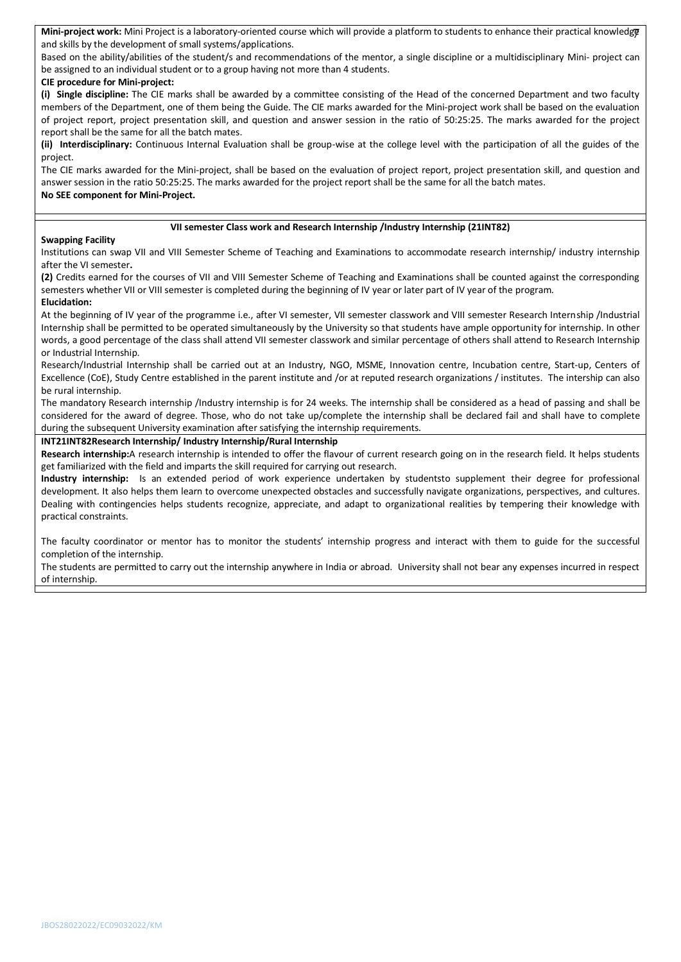Mini-project work: Mini Project is a laboratory-oriented course which will provide a platform to students to enhance their practical knowledget and skills by the development of small systems/applications.

Based on the ability/abilities of the student/s and recommendations of the mentor, a single discipline or a multidisciplinary Mini- project can be assigned to an individual student or to a group having not more than 4 students.

#### **CIE procedure for Mini-project:**

**(i) Single discipline:** The CIE marks shall be awarded by a committee consisting of the Head of the concerned Department and two faculty members of the Department, one of them being the Guide. The CIE marks awarded for the Mini-project work shall be based on the evaluation of project report, project presentation skill, and question and answer session in the ratio of 50:25:25. The marks awarded for the project report shall be the same for all the batch mates.

**(ii) Interdisciplinary:** Continuous Internal Evaluation shall be group-wise at the college level with the participation of all the guides of the project.

The CIE marks awarded for the Mini-project, shall be based on the evaluation of project report, project presentation skill, and question and answer session in the ratio 50:25:25. The marks awarded for the project report shall be the same for all the batch mates. **No SEE component for Mini-Project.**

### **VII semester Class work and Research Internship /Industry Internship (21INT82)**

### **Swapping Facility**

Institutions can swap VII and VIII Semester Scheme of Teaching and Examinations to accommodate research internship/ industry internship after the VI semester**.** 

**(2)** Credits earned for the courses of VII and VIII Semester Scheme of Teaching and Examinations shall be counted against the corresponding semesters whether VII or VIII semester is completed during the beginning of IV year or later part of IV year of the program. **Elucidation:**

At the beginning of IV year of the programme i.e., after VI semester, VII semester classwork and VIII semester Research Internship /Industrial Internship shall be permitted to be operated simultaneously by the University so that students have ample opportunity for internship. In other words, a good percentage of the class shall attend VII semester classwork and similar percentage of others shall attend to Research Internship or Industrial Internship.

Research/Industrial Internship shall be carried out at an Industry, NGO, MSME, Innovation centre, Incubation centre, Start-up, Centers of Excellence (CoE), Study Centre established in the parent institute and /or at reputed research organizations / institutes. The intership can also be rural internship.

The mandatory Research internship /Industry internship is for 24 weeks. The internship shall be considered as a head of passing and shall be considered for the award of degree. Those, who do not take up/complete the internship shall be declared fail and shall have to complete during the subsequent University examination after satisfying the internship requirements.

#### **INT21INT82Research Internship/ Industry Internship/Rural Internship**

**Research internship:**A research internship is intended to offer the flavour of current research going on in the research field. It helps students get familiarized with the field and imparts the skill required for carrying out research.

**Industry internship:** Is an extended period of work experience undertaken by studentsto supplement their degree for professional development. It also helps them learn to overcome unexpected obstacles and successfully navigate organizations, perspectives, and cultures. Dealing with contingencies helps students recognize, appreciate, and adapt to organizational realities by tempering their knowledge with practical constraints.

The faculty coordinator or mentor has to monitor the students' internship progress and interact with them to guide for the successful completion of the internship.

The students are permitted to carry out the internship anywhere in India or abroad. University shall not bear any expenses incurred in respect of internship.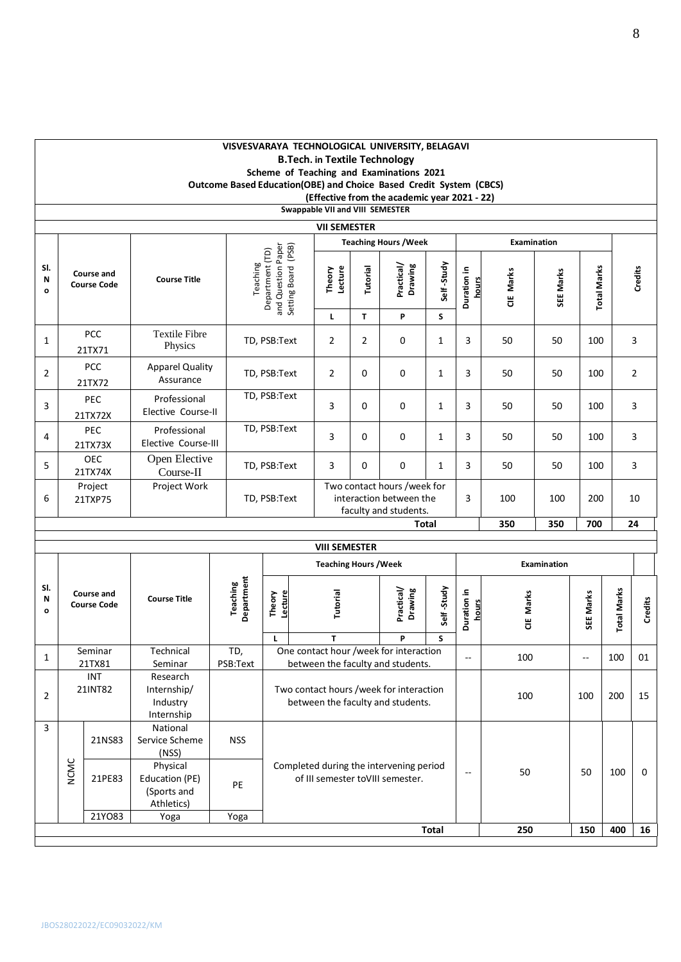|                          |             |                                  |                                                              |  |                             |              |                                                                                                                                          | <b>B.Tech. in Textile Technology</b> |                                           | VISVESVARAYA TECHNOLOGICAL UNIVERSITY, BELAGAVI<br>Scheme of Teaching and Examinations 2021<br>Outcome Based Education(OBE) and Choice Based Credit System (CBCS)<br>(Effective from the academic year 2021 - 22) |                      |                          |            |                      |                          |                |                    |  |         |
|--------------------------|-------------|----------------------------------|--------------------------------------------------------------|--|-----------------------------|--------------|------------------------------------------------------------------------------------------------------------------------------------------|--------------------------------------|-------------------------------------------|-------------------------------------------------------------------------------------------------------------------------------------------------------------------------------------------------------------------|----------------------|--------------------------|------------|----------------------|--------------------------|----------------|--------------------|--|---------|
|                          |             |                                  |                                                              |  |                             |              |                                                                                                                                          | Swappable VII and VIII SEMESTER      |                                           |                                                                                                                                                                                                                   |                      |                          |            |                      |                          |                |                    |  |         |
|                          |             |                                  |                                                              |  |                             |              |                                                                                                                                          | <b>VII SEMESTER</b>                  |                                           | <b>Teaching Hours / Week</b>                                                                                                                                                                                      |                      |                          |            | <b>Examination</b>   |                          |                |                    |  |         |
| SI.<br>N<br>$\mathbf{o}$ |             | Course and<br><b>Course Code</b> | <b>Course Title</b>                                          |  | Department (TD)<br>Teaching |              |                                                                                                                                          |                                      | and Question Paper<br>Setting Board (PSB) |                                                                                                                                                                                                                   | Tutorial             | Practical/<br>Drawing    | Self-Study | Duration in<br>hours | CIE Marks                | SEE Marks      | <b>Total Marks</b> |  | Credits |
|                          |             |                                  |                                                              |  |                             |              |                                                                                                                                          | L                                    | T                                         | P                                                                                                                                                                                                                 | S                    |                          |            |                      |                          |                |                    |  |         |
| $\mathbf{1}$             |             | PCC<br>21TX71                    | <b>Textile Fibre</b><br>Physics                              |  |                             | TD, PSB:Text |                                                                                                                                          | $\overline{2}$                       | 2                                         | 0                                                                                                                                                                                                                 | $\mathbf{1}$         | 3                        | 50         | 50                   | 100                      |                | 3                  |  |         |
| $\overline{2}$           |             | <b>PCC</b><br>21TX72             | <b>Apparel Quality</b><br>Assurance                          |  |                             | TD, PSB:Text |                                                                                                                                          | $\overline{2}$                       | 0                                         | 0                                                                                                                                                                                                                 | $\mathbf{1}$         | 3                        | 50         | 50                   | 100                      |                | $\overline{2}$     |  |         |
| 3                        |             | PEC<br>21TX72X                   | Professional<br>Elective Course-II                           |  |                             | TD, PSB:Text |                                                                                                                                          | 3                                    | 0                                         | 0                                                                                                                                                                                                                 | $\mathbf{1}$         | 3                        | 50         | 50                   | 100                      |                | 3                  |  |         |
| 4                        |             | PEC<br>21TX73X                   | Professional<br>Elective Course-III                          |  |                             | TD, PSB:Text |                                                                                                                                          | 3                                    | 0                                         | 0                                                                                                                                                                                                                 | $\mathbf{1}$         | 3                        | 50         | 50                   | 100                      |                | 3                  |  |         |
| 5                        |             | OEC<br>21TX74X                   | Open Elective<br>Course-II                                   |  | TD, PSB:Text                |              |                                                                                                                                          | 3                                    | 0                                         | 0                                                                                                                                                                                                                 | $\mathbf{1}$         | 3                        | 50         | 50                   | 100                      |                | 3                  |  |         |
| 6                        |             | Project<br>21TXP75               | Project Work                                                 |  |                             | TD, PSB:Text |                                                                                                                                          |                                      |                                           | Two contact hours /week for<br>interaction between the<br>faculty and students.                                                                                                                                   |                      | 3                        | 100        | 100                  | 200                      |                | 10                 |  |         |
|                          |             |                                  |                                                              |  |                             |              |                                                                                                                                          |                                      |                                           |                                                                                                                                                                                                                   | Total                |                          | 350        | 350                  | 700                      |                | 24                 |  |         |
|                          |             |                                  |                                                              |  |                             |              |                                                                                                                                          | <b>VIII SEMESTER</b>                 |                                           |                                                                                                                                                                                                                   |                      |                          |            |                      |                          |                |                    |  |         |
|                          |             |                                  |                                                              |  |                             |              |                                                                                                                                          | <b>Teaching Hours / Week</b>         |                                           |                                                                                                                                                                                                                   |                      |                          |            | Examination          |                          |                |                    |  |         |
| SI.<br>N<br>$\mathbf{o}$ |             | Course and<br><b>Course Code</b> | <b>Course Title</b>                                          |  | Department<br>Teaching      | Theory       | Practical/<br>Drawing<br>Lecture<br>Tutorial                                                                                             |                                      |                                           | Self-Study                                                                                                                                                                                                        | Duration in<br>hours | CIE Marks                |            | SEE Marks            | <b>Total Marks</b>       | <b>Credits</b> |                    |  |         |
| $\mathbf{1}$             |             | Seminar                          | Technical                                                    |  | TD,                         | Г            |                                                                                                                                          | T                                    |                                           | P<br>One contact hour /week for interaction                                                                                                                                                                       | S                    | $\overline{\phantom{a}}$ | 100        |                      | $\overline{\phantom{a}}$ | 100            | 01                 |  |         |
| $\overline{2}$           |             | 21TX81<br>INT<br>21INT82         | Seminar<br>Research<br>Internship/<br>Industry<br>Internship |  | PSB:Text                    |              | between the faculty and students.<br>Two contact hours /week for interaction<br>between the faculty and students.                        |                                      |                                           |                                                                                                                                                                                                                   |                      |                          | 100        |                      | 100                      | 200            | 15                 |  |         |
| 3                        |             | 21NS83                           | National<br>Service Scheme<br>(NSS)<br>Physical              |  | <b>NSS</b>                  |              |                                                                                                                                          |                                      |                                           |                                                                                                                                                                                                                   |                      |                          |            |                      |                          |                |                    |  |         |
|                          | <b>NCMC</b> | 21PE83                           | Education (PE)<br>(Sports and<br>Athletics)                  |  | PE                          |              | Completed during the intervening period<br>50<br>50<br>$\mathord{\hspace{1pt}\text{--}\hspace{1pt}}$<br>of III semester toVIII semester. |                                      |                                           |                                                                                                                                                                                                                   |                      |                          |            | 100                  | 0                        |                |                    |  |         |
|                          |             | 21Y083                           | Yoga                                                         |  | Yoga                        |              |                                                                                                                                          |                                      |                                           |                                                                                                                                                                                                                   | <b>Total</b>         |                          | 250        |                      | 150                      | 400            | 16                 |  |         |
|                          |             |                                  |                                                              |  |                             |              |                                                                                                                                          |                                      |                                           |                                                                                                                                                                                                                   |                      |                          |            |                      |                          |                |                    |  |         |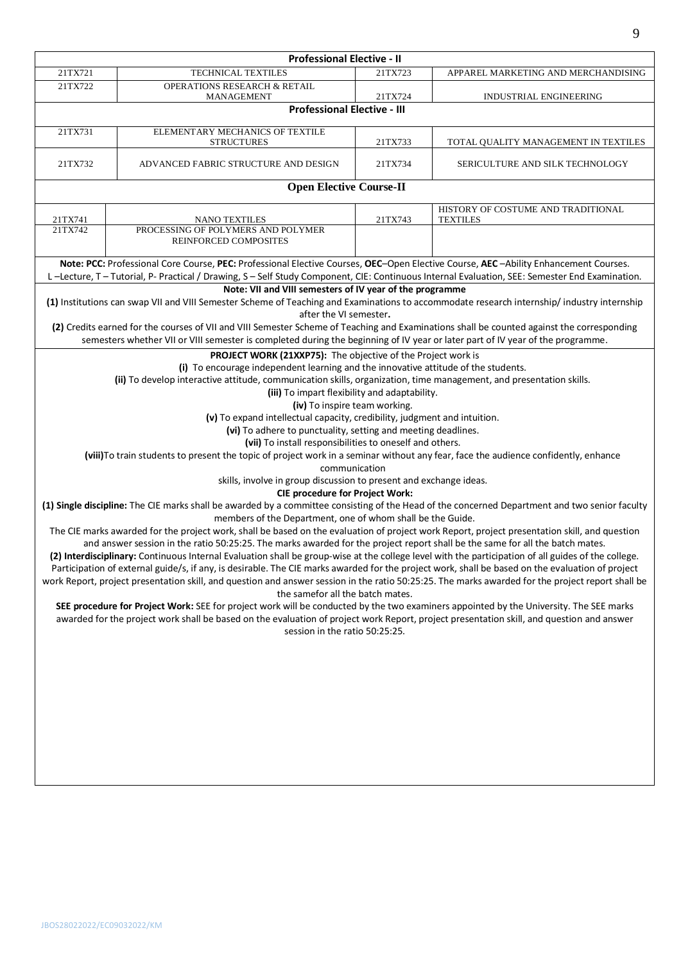|         | <b>Professional Elective - II</b>                                                                                                                                                                                                                                                                                                                                                                                                     |                                   |                                                       |  |  |  |  |
|---------|---------------------------------------------------------------------------------------------------------------------------------------------------------------------------------------------------------------------------------------------------------------------------------------------------------------------------------------------------------------------------------------------------------------------------------------|-----------------------------------|-------------------------------------------------------|--|--|--|--|
| 21TX721 | TECHNICAL TEXTILES                                                                                                                                                                                                                                                                                                                                                                                                                    | 21TX723                           | APPAREL MARKETING AND MERCHANDISING                   |  |  |  |  |
| 21TX722 | <b>OPERATIONS RESEARCH &amp; RETAIL</b><br>MANAGEMENT                                                                                                                                                                                                                                                                                                                                                                                 | 21TX724<br>INDUSTRIAL ENGINEERING |                                                       |  |  |  |  |
|         | <b>Professional Elective - III</b>                                                                                                                                                                                                                                                                                                                                                                                                    |                                   |                                                       |  |  |  |  |
| 21TX731 | ELEMENTARY MECHANICS OF TEXTILE<br><b>STRUCTURES</b>                                                                                                                                                                                                                                                                                                                                                                                  | 21TX733                           | TOTAL QUALITY MANAGEMENT IN TEXTILES                  |  |  |  |  |
| 21TX732 | ADVANCED FABRIC STRUCTURE AND DESIGN                                                                                                                                                                                                                                                                                                                                                                                                  | 21TX734                           | SERICULTURE AND SILK TECHNOLOGY                       |  |  |  |  |
|         | <b>Open Elective Course-II</b>                                                                                                                                                                                                                                                                                                                                                                                                        |                                   |                                                       |  |  |  |  |
| 21TX741 | <b>NANO TEXTILES</b>                                                                                                                                                                                                                                                                                                                                                                                                                  | 21TX743                           | HISTORY OF COSTUME AND TRADITIONAL<br><b>TEXTILES</b> |  |  |  |  |
| 21TX742 | PROCESSING OF POLYMERS AND POLYMER<br>REINFORCED COMPOSITES                                                                                                                                                                                                                                                                                                                                                                           |                                   |                                                       |  |  |  |  |
|         | Note: PCC: Professional Core Course, PEC: Professional Elective Courses, OEC-Open Elective Course, AEC-Ability Enhancement Courses.                                                                                                                                                                                                                                                                                                   |                                   |                                                       |  |  |  |  |
|         | L-Lecture, T-Tutorial, P-Practical / Drawing, S-Self Study Component, CIE: Continuous Internal Evaluation, SEE: Semester End Examination.<br>Note: VII and VIII semesters of IV year of the programme                                                                                                                                                                                                                                 |                                   |                                                       |  |  |  |  |
|         | (1) Institutions can swap VII and VIII Semester Scheme of Teaching and Examinations to accommodate research internship/industry internship                                                                                                                                                                                                                                                                                            |                                   |                                                       |  |  |  |  |
|         | after the VI semester.                                                                                                                                                                                                                                                                                                                                                                                                                |                                   |                                                       |  |  |  |  |
|         | (2) Credits earned for the courses of VII and VIII Semester Scheme of Teaching and Examinations shall be counted against the corresponding                                                                                                                                                                                                                                                                                            |                                   |                                                       |  |  |  |  |
|         | semesters whether VII or VIII semester is completed during the beginning of IV year or later part of IV year of the programme.                                                                                                                                                                                                                                                                                                        |                                   |                                                       |  |  |  |  |
|         | PROJECT WORK (21XXP75): The objective of the Project work is                                                                                                                                                                                                                                                                                                                                                                          |                                   |                                                       |  |  |  |  |
|         | (i) To encourage independent learning and the innovative attitude of the students.                                                                                                                                                                                                                                                                                                                                                    |                                   |                                                       |  |  |  |  |
|         | (ii) To develop interactive attitude, communication skills, organization, time management, and presentation skills.                                                                                                                                                                                                                                                                                                                   |                                   |                                                       |  |  |  |  |
|         | (iii) To impart flexibility and adaptability.                                                                                                                                                                                                                                                                                                                                                                                         |                                   |                                                       |  |  |  |  |
|         | (iv) To inspire team working.<br>(v) To expand intellectual capacity, credibility, judgment and intuition.                                                                                                                                                                                                                                                                                                                            |                                   |                                                       |  |  |  |  |
|         | (vi) To adhere to punctuality, setting and meeting deadlines.                                                                                                                                                                                                                                                                                                                                                                         |                                   |                                                       |  |  |  |  |
|         | (vii) To install responsibilities to oneself and others.                                                                                                                                                                                                                                                                                                                                                                              |                                   |                                                       |  |  |  |  |
|         | (viii) To train students to present the topic of project work in a seminar without any fear, face the audience confidently, enhance                                                                                                                                                                                                                                                                                                   |                                   |                                                       |  |  |  |  |
|         | communication                                                                                                                                                                                                                                                                                                                                                                                                                         |                                   |                                                       |  |  |  |  |
|         | skills, involve in group discussion to present and exchange ideas.                                                                                                                                                                                                                                                                                                                                                                    |                                   |                                                       |  |  |  |  |
|         | <b>CIE procedure for Project Work:</b>                                                                                                                                                                                                                                                                                                                                                                                                |                                   |                                                       |  |  |  |  |
|         | (1) Single discipline: The CIE marks shall be awarded by a committee consisting of the Head of the concerned Department and two senior faculty<br>members of the Department, one of whom shall be the Guide.                                                                                                                                                                                                                          |                                   |                                                       |  |  |  |  |
|         | The CIE marks awarded for the project work, shall be based on the evaluation of project work Report, project presentation skill, and question<br>and answer session in the ratio 50:25:25. The marks awarded for the project report shall be the same for all the batch mates.<br>(2) Interdisciplinary: Continuous Internal Evaluation shall be group-wise at the college level with the participation of all guides of the college. |                                   |                                                       |  |  |  |  |
|         | Participation of external guide/s, if any, is desirable. The CIE marks awarded for the project work, shall be based on the evaluation of project                                                                                                                                                                                                                                                                                      |                                   |                                                       |  |  |  |  |
|         | work Report, project presentation skill, and question and answer session in the ratio 50:25:25. The marks awarded for the project report shall be<br>the samefor all the batch mates.                                                                                                                                                                                                                                                 |                                   |                                                       |  |  |  |  |
|         | SEE procedure for Project Work: SEE for project work will be conducted by the two examiners appointed by the University. The SEE marks<br>awarded for the project work shall be based on the evaluation of project work Report, project presentation skill, and question and answer                                                                                                                                                   |                                   |                                                       |  |  |  |  |
|         | session in the ratio 50:25:25.                                                                                                                                                                                                                                                                                                                                                                                                        |                                   |                                                       |  |  |  |  |
|         |                                                                                                                                                                                                                                                                                                                                                                                                                                       |                                   |                                                       |  |  |  |  |
|         |                                                                                                                                                                                                                                                                                                                                                                                                                                       |                                   |                                                       |  |  |  |  |
|         |                                                                                                                                                                                                                                                                                                                                                                                                                                       |                                   |                                                       |  |  |  |  |
|         |                                                                                                                                                                                                                                                                                                                                                                                                                                       |                                   |                                                       |  |  |  |  |
|         |                                                                                                                                                                                                                                                                                                                                                                                                                                       |                                   |                                                       |  |  |  |  |
|         |                                                                                                                                                                                                                                                                                                                                                                                                                                       |                                   |                                                       |  |  |  |  |
|         |                                                                                                                                                                                                                                                                                                                                                                                                                                       |                                   |                                                       |  |  |  |  |
|         |                                                                                                                                                                                                                                                                                                                                                                                                                                       |                                   |                                                       |  |  |  |  |
|         |                                                                                                                                                                                                                                                                                                                                                                                                                                       |                                   |                                                       |  |  |  |  |
|         |                                                                                                                                                                                                                                                                                                                                                                                                                                       |                                   |                                                       |  |  |  |  |